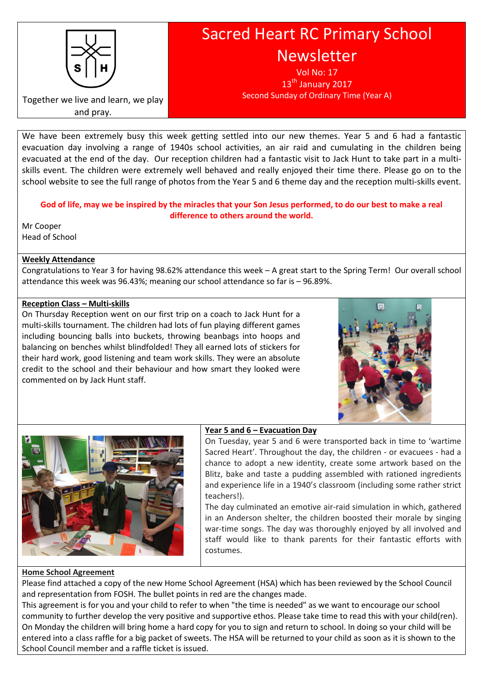

and pray.

Together we live and learn, we play

# Sacred Heart RC Primary School Newsletter

Vol No: 17  $13<sup>th</sup>$  January 2017 Second Sunday of Ordinary Time (Year A)

We have been extremely busy this week getting settled into our new themes. Year 5 and 6 had a fantastic evacuation day involving a range of 1940s school activities, an air raid and cumulating in the children being evacuated at the end of the day. Our reception children had a fantastic visit to Jack Hunt to take part in a multiskills event. The children were extremely well behaved and really enjoyed their time there. Please go on to the school website to see the full range of photos from the Year 5 and 6 theme day and the reception multi-skills event.

# God of life, may we be inspired by the miracles that your Son Jesus performed, to do our best to make a real difference to others around the world.

Mr Cooper Head of School

# Weekly Attendance

Congratulations to Year 3 for having 98.62% attendance this week – A great start to the Spring Term! Our overall school attendance this week was 96.43%; meaning our school attendance so far is – 96.89%.

# Reception Class – Multi-skills

On Thursday Reception went on our first trip on a coach to Jack Hunt for a multi-skills tournament. The children had lots of fun playing different games including bouncing balls into buckets, throwing beanbags into hoops and balancing on benches whilst blindfolded! They all earned lots of stickers for their hard work, good listening and team work skills. They were an absolute credit to the school and their behaviour and how smart they looked were commented on by Jack Hunt staff.





# Year 5 and 6 – Evacuation Day

On Tuesday, year 5 and 6 were transported back in time to 'wartime Sacred Heart'. Throughout the day, the children - or evacuees - had a chance to adopt a new identity, create some artwork based on the Blitz, bake and taste a pudding assembled with rationed ingredients and experience life in a 1940's classroom (including some rather strict teachers!).

The day culminated an emotive air-raid simulation in which, gathered in an Anderson shelter, the children boosted their morale by singing war-time songs. The day was thoroughly enjoyed by all involved and staff would like to thank parents for their fantastic efforts with costumes.

# Home School Agreement

Please find attached a copy of the new Home School Agreement (HSA) which has been reviewed by the School Council and representation from FOSH. The bullet points in red are the changes made.

This agreement is for you and your child to refer to when "the time is needed" as we want to encourage our school community to further develop the very positive and supportive ethos. Please take time to read this with your child(ren). On Monday the children will bring home a hard copy for you to sign and return to school. In doing so your child will be entered into a class raffle for a big packet of sweets. The HSA will be returned to your child as soon as it is shown to the School Council member and a raffle ticket is issued.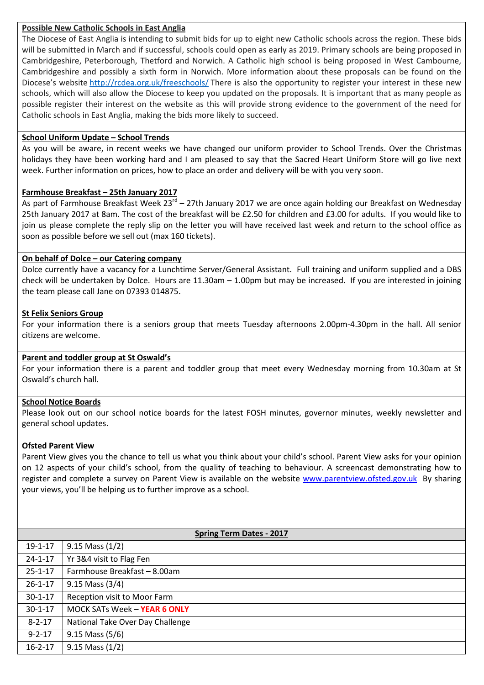## Possible New Catholic Schools in East Anglia

The Diocese of East Anglia is intending to submit bids for up to eight new Catholic schools across the region. These bids will be submitted in March and if successful, schools could open as early as 2019. Primary schools are being proposed in Cambridgeshire, Peterborough, Thetford and Norwich. A Catholic high school is being proposed in West Cambourne, Cambridgeshire and possibly a sixth form in Norwich. More information about these proposals can be found on the Diocese's website http://rcdea.org.uk/freeschools/ There is also the opportunity to register your interest in these new schools, which will also allow the Diocese to keep you updated on the proposals. It is important that as many people as possible register their interest on the website as this will provide strong evidence to the government of the need for Catholic schools in East Anglia, making the bids more likely to succeed.

## School Uniform Update – School Trends

As you will be aware, in recent weeks we have changed our uniform provider to School Trends. Over the Christmas holidays they have been working hard and I am pleased to say that the Sacred Heart Uniform Store will go live next week. Further information on prices, how to place an order and delivery will be with you very soon.

## Farmhouse Breakfast – 25th January 2017

As part of Farmhouse Breakfast Week  $23^{rd}$  – 27th January 2017 we are once again holding our Breakfast on Wednesday 25th January 2017 at 8am. The cost of the breakfast will be £2.50 for children and £3.00 for adults. If you would like to join us please complete the reply slip on the letter you will have received last week and return to the school office as soon as possible before we sell out (max 160 tickets).

## On behalf of Dolce – our Catering company

Dolce currently have a vacancy for a Lunchtime Server/General Assistant. Full training and uniform supplied and a DBS check will be undertaken by Dolce. Hours are 11.30am – 1.00pm but may be increased. If you are interested in joining the team please call Jane on 07393 014875.

## St Felix Seniors Group

For your information there is a seniors group that meets Tuesday afternoons 2.00pm-4.30pm in the hall. All senior citizens are welcome.

## Parent and toddler group at St Oswald's

For your information there is a parent and toddler group that meet every Wednesday morning from 10.30am at St Oswald's church hall.

#### School Notice Boards

Please look out on our school notice boards for the latest FOSH minutes, governor minutes, weekly newsletter and general school updates.

#### Ofsted Parent View

Parent View gives you the chance to tell us what you think about your child's school. Parent View asks for your opinion on 12 aspects of your child's school, from the quality of teaching to behaviour. A screencast demonstrating how to register and complete a survey on Parent View is available on the website www.parentview.ofsted.gov.uk By sharing your views, you'll be helping us to further improve as a school.

| <b>Spring Term Dates - 2017</b> |                                  |
|---------------------------------|----------------------------------|
| $19 - 1 - 17$                   | $9.15$ Mass $(1/2)$              |
| $24 - 1 - 17$                   | Yr 3&4 visit to Flag Fen         |
| $25 - 1 - 17$                   | Farmhouse Breakfast - 8.00am     |
| $26 - 1 - 17$                   | 9.15 Mass (3/4)                  |
| $30 - 1 - 17$                   | Reception visit to Moor Farm     |
| $30 - 1 - 17$                   | MOCK SATs Week - YEAR 6 ONLY     |
| $8 - 2 - 17$                    | National Take Over Day Challenge |
| $9 - 2 - 17$                    | $9.15$ Mass (5/6)                |
| $16 - 2 - 17$                   | $9.15$ Mass $(1/2)$              |